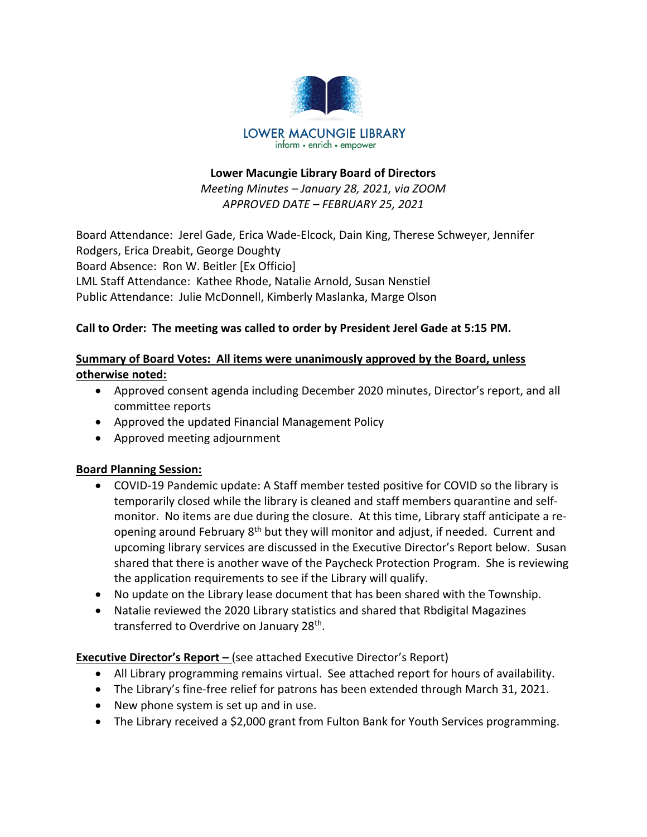

#### **Lower Macungie Library Board of Directors**

*Meeting Minutes – January 28, 2021, via ZOOM APPROVED DATE – FEBRUARY 25, 2021*

Board Attendance: Jerel Gade, Erica Wade-Elcock, Dain King, Therese Schweyer, Jennifer Rodgers, Erica Dreabit, George Doughty Board Absence: Ron W. Beitler [Ex Officio] LML Staff Attendance: Kathee Rhode, Natalie Arnold, Susan Nenstiel Public Attendance: Julie McDonnell, Kimberly Maslanka, Marge Olson

## **Call to Order: The meeting was called to order by President Jerel Gade at 5:15 PM.**

## **Summary of Board Votes: All items were unanimously approved by the Board, unless otherwise noted:**

- Approved consent agenda including December 2020 minutes, Director's report, and all committee reports
- Approved the updated Financial Management Policy
- Approved meeting adjournment

## **Board Planning Session:**

- COVID-19 Pandemic update: A Staff member tested positive for COVID so the library is temporarily closed while the library is cleaned and staff members quarantine and selfmonitor. No items are due during the closure. At this time, Library staff anticipate a reopening around February 8<sup>th</sup> but they will monitor and adjust, if needed. Current and upcoming library services are discussed in the Executive Director's Report below. Susan shared that there is another wave of the Paycheck Protection Program. She is reviewing the application requirements to see if the Library will qualify.
- No update on the Library lease document that has been shared with the Township.
- Natalie reviewed the 2020 Library statistics and shared that Rbdigital Magazines transferred to Overdrive on January 28<sup>th</sup>.

## **Executive Director's Report –** (see attached Executive Director's Report)

- All Library programming remains virtual. See attached report for hours of availability.
- The Library's fine-free relief for patrons has been extended through March 31, 2021.
- New phone system is set up and in use.
- The Library received a \$2,000 grant from Fulton Bank for Youth Services programming.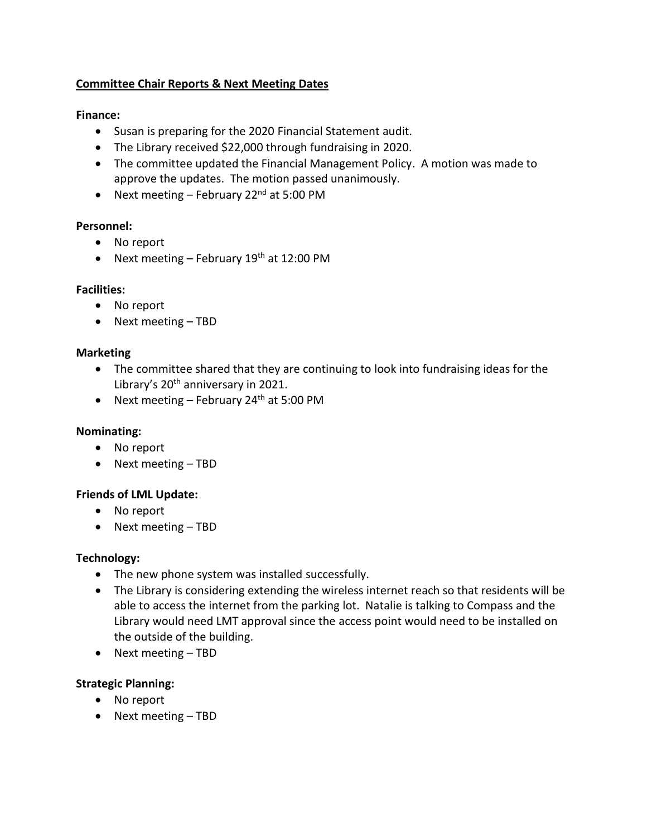## **Committee Chair Reports & Next Meeting Dates**

### **Finance:**

- Susan is preparing for the 2020 Financial Statement audit.
- The Library received \$22,000 through fundraising in 2020.
- The committee updated the Financial Management Policy. A motion was made to approve the updates. The motion passed unanimously.
- Next meeting February 22<sup>nd</sup> at 5:00 PM

#### **Personnel:**

- No report
- Next meeting February  $19<sup>th</sup>$  at 12:00 PM

#### **Facilities:**

- No report
- Next meeting TBD

#### **Marketing**

- The committee shared that they are continuing to look into fundraising ideas for the Library's  $20<sup>th</sup>$  anniversary in 2021.
- Next meeting February 24<sup>th</sup> at 5:00 PM

## **Nominating:**

- No report
- Next meeting TBD

## **Friends of LML Update:**

- No report
- Next meeting TBD

## **Technology:**

- The new phone system was installed successfully.
- The Library is considering extending the wireless internet reach so that residents will be able to access the internet from the parking lot. Natalie is talking to Compass and the Library would need LMT approval since the access point would need to be installed on the outside of the building.
- Next meeting TBD

## **Strategic Planning:**

- No report
- Next meeting TBD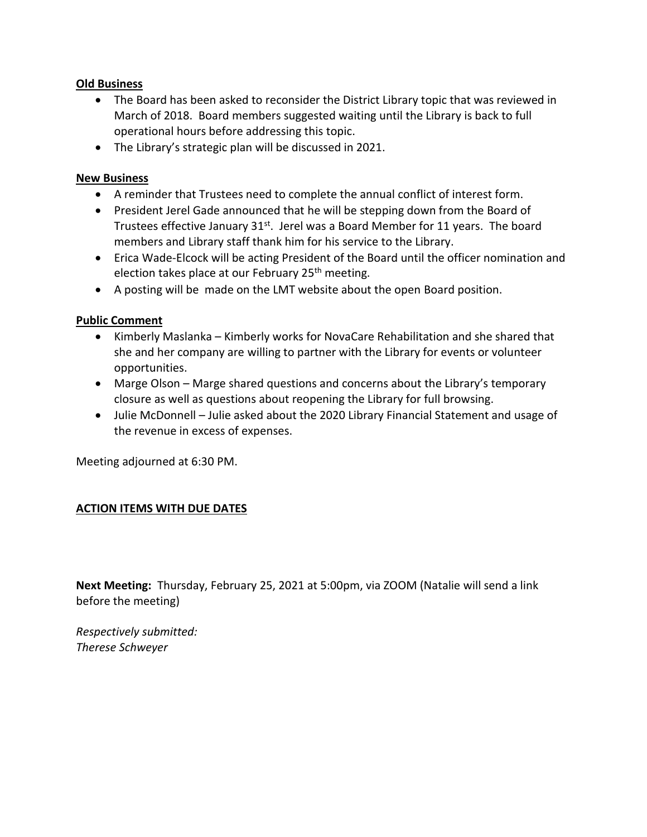#### **Old Business**

- The Board has been asked to reconsider the District Library topic that was reviewed in March of 2018. Board members suggested waiting until the Library is back to full operational hours before addressing this topic.
- The Library's strategic plan will be discussed in 2021.

#### **New Business**

- A reminder that Trustees need to complete the annual conflict of interest form.
- President Jerel Gade announced that he will be stepping down from the Board of Trustees effective January  $31<sup>st</sup>$ . Jerel was a Board Member for 11 years. The board members and Library staff thank him for his service to the Library.
- Erica Wade-Elcock will be acting President of the Board until the officer nomination and election takes place at our February 25<sup>th</sup> meeting.
- A posting will be made on the LMT website about the open Board position.

#### **Public Comment**

- Kimberly Maslanka Kimberly works for NovaCare Rehabilitation and she shared that she and her company are willing to partner with the Library for events or volunteer opportunities.
- Marge Olson Marge shared questions and concerns about the Library's temporary closure as well as questions about reopening the Library for full browsing.
- Julie McDonnell Julie asked about the 2020 Library Financial Statement and usage of the revenue in excess of expenses.

Meeting adjourned at 6:30 PM.

## **ACTION ITEMS WITH DUE DATES**

**Next Meeting:** Thursday, February 25, 2021 at 5:00pm, via ZOOM (Natalie will send a link before the meeting)

*Respectively submitted: Therese Schweyer*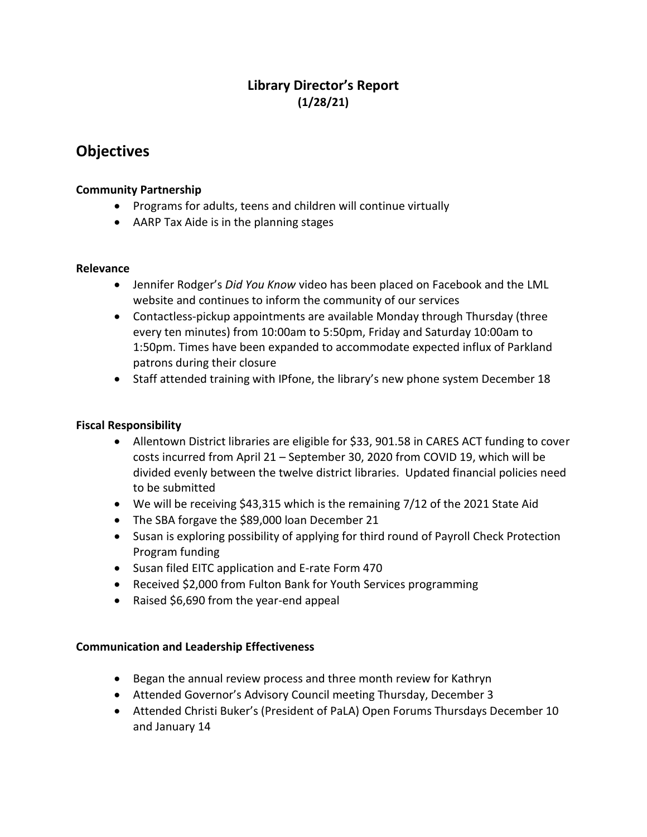## **Library Director's Report (1/28/21)**

# **Objectives**

#### **Community Partnership**

- Programs for adults, teens and children will continue virtually
- AARP Tax Aide is in the planning stages

#### **Relevance**

- Jennifer Rodger's *Did You Know* video has been placed on Facebook and the LML website and continues to inform the community of our services
- Contactless-pickup appointments are available Monday through Thursday (three every ten minutes) from 10:00am to 5:50pm, Friday and Saturday 10:00am to 1:50pm. Times have been expanded to accommodate expected influx of Parkland patrons during their closure
- Staff attended training with IPfone, the library's new phone system December 18

## **Fiscal Responsibility**

- Allentown District libraries are eligible for \$33, 901.58 in CARES ACT funding to cover costs incurred from April 21 – September 30, 2020 from COVID 19, which will be divided evenly between the twelve district libraries. Updated financial policies need to be submitted
- We will be receiving \$43,315 which is the remaining 7/12 of the 2021 State Aid
- The SBA forgave the \$89,000 loan December 21
- Susan is exploring possibility of applying for third round of Payroll Check Protection Program funding
- Susan filed EITC application and E-rate Form 470
- Received \$2,000 from Fulton Bank for Youth Services programming
- Raised \$6,690 from the year-end appeal

#### **Communication and Leadership Effectiveness**

- Began the annual review process and three month review for Kathryn
- Attended Governor's Advisory Council meeting Thursday, December 3
- Attended Christi Buker's (President of PaLA) Open Forums Thursdays December 10 and January 14